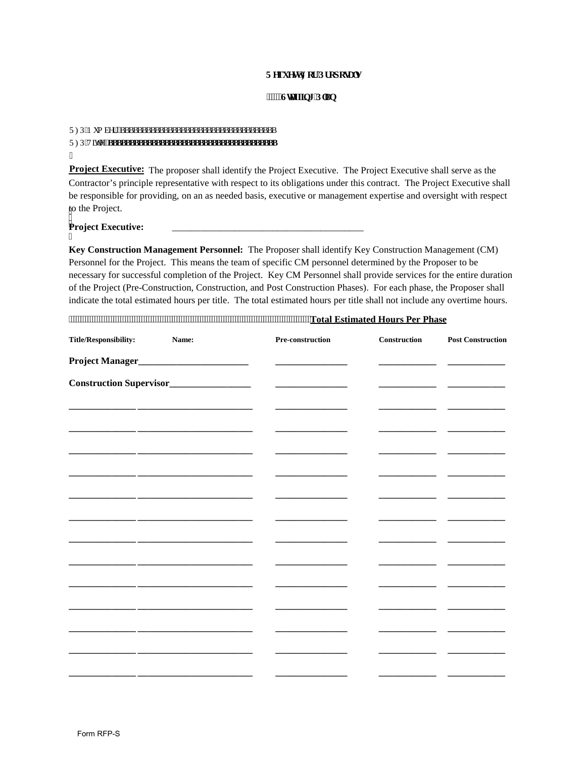## **Tgs wguv'Hqt 'Rt qr que nu**

## *fflui* **6** The Public **CO**

| $^{\prime\prime}$ |
|-------------------|

Project Executive: The proposer shall identify the Project Executive. The Project Executive shall serve as the Contractor's principle representative with respect to its obligations under this contract. The Project Executive shall be responsible for providing, on an as needed basis, executive or management expertise and oversight with respect to the Project.

## : **Project Executive:** \_\_\_\_\_\_\_\_\_\_\_\_\_\_\_\_\_\_\_\_\_\_\_\_\_\_\_\_\_\_\_\_\_\_\_\_\_\_\_\_

I

**Key Construction Management Personnel:** The Proposer shall identify Key Construction Management (CM) Personnel for the Project. This means the team of specific CM personnel determined by the Proposer to be necessary for successful completion of the Project. Key CM Personnel shall provide services for the entire duration of the Project (Pre-Construction, Construction, and Post Construction Phases). For each phase, the Proposer shall indicate the total estimated hours per title. The total estimated hours per title shall not include any overtime hours.

| <b>Title/Responsibility:</b> | Name: | Pre-construction | Construction | <b>Post Construction</b> |
|------------------------------|-------|------------------|--------------|--------------------------|
|                              |       |                  |              |                          |
|                              |       |                  |              |                          |
|                              |       |                  |              |                          |
|                              |       |                  |              |                          |
|                              |       |                  |              |                          |
|                              |       |                  |              |                          |
|                              |       |                  |              |                          |
|                              |       |                  |              |                          |
|                              |       |                  |              |                          |
|                              |       |                  |              |                          |
|                              |       |                  |              |                          |
|                              |       |                  |              |                          |
|                              |       |                  |              |                          |
|                              |       |                  |              |                          |
|                              |       |                  |              |                          |
|                              |       |                  |              |                          |